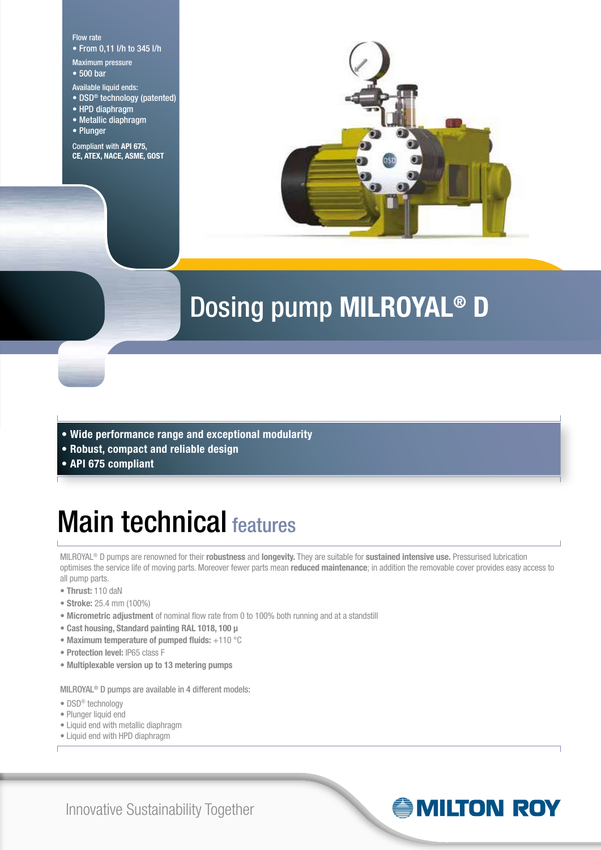Flow rate • From 0,11 l/h to 345 l/h

- Maximum pressure
- 500 bar
- Available liquid ends:
- DSD® technology (patented)
- HPD diaphragm
- Metallic diaphragm
- Plunger

Compliant with **API 675, CE, ATEX, NACE, ASME, GOST**



### Dosing pump **MILROYAL® D**

- **Wide performance range and exceptional modularity**
- **Robust, compact and reliable design**
- **API 675 compliant**

### Main technical features

MILROYAL® D pumps are renowned for their **robustness** and **longevity.** They are suitable for **sustained intensive use.** Pressurised lubrication optimises the service life of moving parts. Moreover fewer parts mean **reduced maintenance**; in addition the removable cover provides easy access to all pump parts.

- **Thrust:** 110 daN
- **Stroke:** 25.4 mm (100%)
- **Micrometric adjustment** of nominal flow rate from 0 to 100% both running and at a standstill
- **Cast housing, Standard painting RAL 1018, 100 μ**
- **Maximum temperature of pumped fluids:** +110 °C
- **Protection level:** IP65 class F
- **Multiplexable version up to 13 metering pumps**

MILROYAL® D pumps are available in 4 different models:

- DSD® technology
- Plunger liquid end
- Liquid end with metallic diaphragm
- Liquid end with HPD diaphragm

Innovative Sustainability Together

### **ANILTON ROY**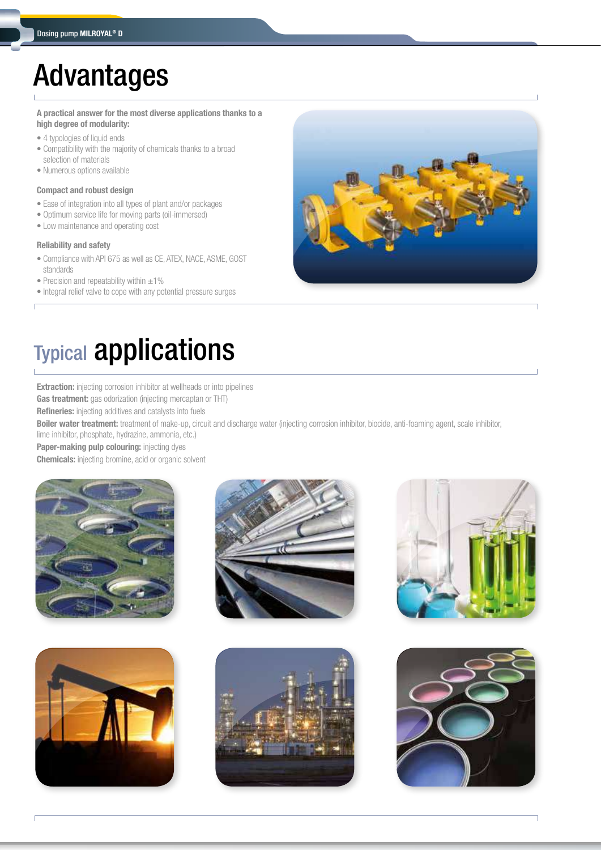### Advantages

**A practical answer for the most diverse applications thanks to a high degree of modularity:**

- 4 typologies of liquid ends
- Compatibility with the majority of chemicals thanks to a broad selection of materials
- Numerous options available

#### **Compact and robust design**

- Ease of integration into all types of plant and/or packages
- Optimum service life for moving parts (oil-immersed)
- Low maintenance and operating cost

#### **Reliability and safety**

- Compliance with API 675 as well as CE, ATEX, NACE, ASME, GOST standards
- Precision and repeatability within  $\pm 1\%$
- Integral relief valve to cope with any potential pressure surges



# Typical applications

**Extraction:** injecting corrosion inhibitor at wellheads or into pipelines

**Gas treatment:** gas odorization (injecting mercaptan or THT)

**Refineries:** injecting additives and catalysts into fuels

**Boiler water treatment:** treatment of make-up, circuit and discharge water (injecting corrosion inhibitor, biocide, anti-foaming agent, scale inhibitor, lime inhibitor, phosphate, hydrazine, ammonia, etc.)

**Paper-making pulp colouring:** injecting dyes

**Chemicals:** injecting bromine, acid or organic solvent











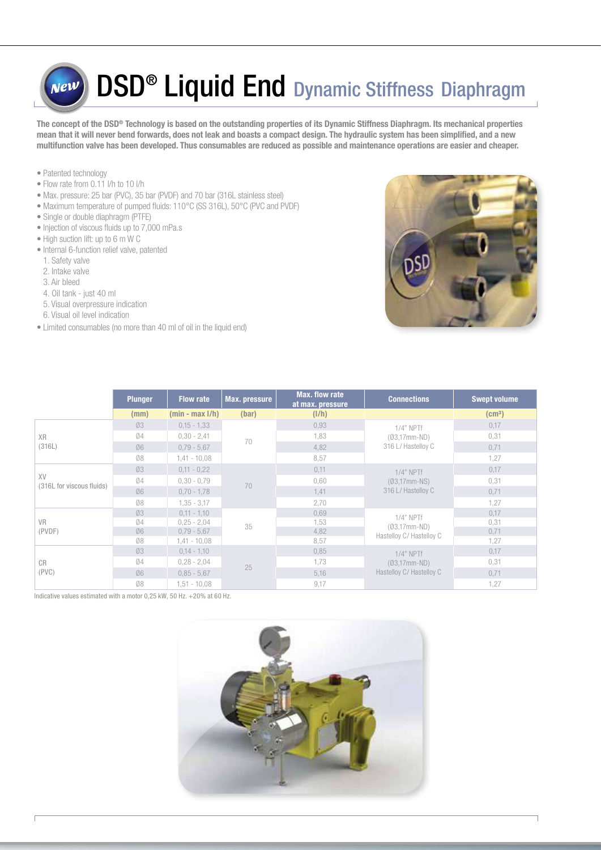### DSD<sup>®</sup> Liquid End Dynamic Stiffness Diaphragm vew

**The concept of the DSD® Technology is based on the outstanding properties of its Dynamic Stiffness Diaphragm. Its mechanical properties mean that it will never bend forwards, does not leak and boasts a compact design. The hydraulic system has been simplified, and a new multifunction valve has been developed. Thus consumables are reduced as possible and maintenance operations are easier and cheaper.**

- Patented technology
- Flow rate from 0.11 l/h to 10 l/h
- Max. pressure: 25 bar (PVC), 35 bar (PVDF) and 70 bar (316L stainless steel)
- Maximum temperature of pumped fluids: 110°C (SS 316L), 50°C (PVC and PVDF)
- Single or double diaphragm (PTFE)
- Injection of viscous fluids up to 7,000 mPa.s
- High suction lift: up to 6 m W C
- Internal 6-function relief valve, patented
- 1. Safety valve
- 2. Intake valve
- 3. Air bleed
- 4. Oil tank just 40 ml
- 5. Visual overpressure indication
- 6. Visual oil level indication
- Limited consumables (no more than 40 ml of oil in the liquid end)



|                                                                                                                                                        | <b>Plunger</b> | <b>Flow rate</b>   | Max. pressure | <b>Max. flow rate</b><br>at max. pressure | <b>Connections</b>                                        | <b>Swept volume</b> |
|--------------------------------------------------------------------------------------------------------------------------------------------------------|----------------|--------------------|---------------|-------------------------------------------|-----------------------------------------------------------|---------------------|
|                                                                                                                                                        | (mm)           | $(min - max I/h)$  | (bar)         | (I/h)                                     |                                                           | (cm <sup>3</sup> )  |
| Ø3<br>0,93<br>$0,15 - 1,33$<br>1,83<br>04<br>$0,30 - 2,41$<br><b>XR</b><br>70<br>(316L)<br>06<br>4,82<br>$0,79 - 5,67$<br>08<br>8,57<br>$1,41 - 10,08$ |                |                    |               |                                           | $1/4"$ NPTf<br>$(Ø3,17mm-ND)$                             | 0,17                |
|                                                                                                                                                        |                |                    |               |                                           |                                                           | 0,31                |
|                                                                                                                                                        |                | 316 L/ Hastelloy C | 0,71          |                                           |                                                           |                     |
|                                                                                                                                                        |                |                    | 1,27          |                                           |                                                           |                     |
| XV<br>(316L for viscous fluids)                                                                                                                        | Ø3             | $0,11 - 0,22$      | 70            | 0,11                                      | $1/4"$ NPTf<br>$(Ø3,17mm-NS)$<br>316 L/ Hastelloy C       | 0,17                |
|                                                                                                                                                        | 04             | $0,30 - 0,79$      |               | 0,60                                      |                                                           | 0,31                |
|                                                                                                                                                        | 06             | $0,70 - 1,78$      |               | 1,41                                      |                                                           | 0,71                |
|                                                                                                                                                        | Ø8             | $1,35 - 3,17$      |               | 2,70                                      |                                                           | 1,27                |
|                                                                                                                                                        | Ø3             | $0,11 - 1,10$      |               | 0,69                                      | $1/4"$ NPTf<br>$(Ø3,17mm-ND)$<br>Hastelloy C/ Hastelloy C | 0,17                |
| <b>VR</b>                                                                                                                                              | 04             | $0,25 - 2,04$      | 35            | 1,53                                      |                                                           | 0,31                |
| (PVDF)                                                                                                                                                 | 06             | $0,79 - 5,67$      |               | 4,82                                      |                                                           | 0,71                |
|                                                                                                                                                        | Ø8             | $1,41 - 10,08$     |               | 8,57                                      |                                                           | 1,27                |
|                                                                                                                                                        | Ø3             | $0,14 - 1,10$      |               | 0,85                                      | $1/4"$ NPTf                                               | 0,17                |
| <b>CR</b>                                                                                                                                              | 04             | $0,28 - 2,04$      | 25            | 1,73                                      | $(Ø3,17mm-ND)$                                            | 0,31                |
| (PVC)                                                                                                                                                  | 06             | $0.85 - 5.67$      |               | 5,16                                      | Hastelloy C/ Hastelloy C                                  | 0,71                |
|                                                                                                                                                        | Ø8             | $1,51 - 10,08$     |               | 9,17                                      |                                                           | 1,27                |

Indicative values estimated with a motor 0,25 kW, 50 Hz, +20% at 60 Hz.

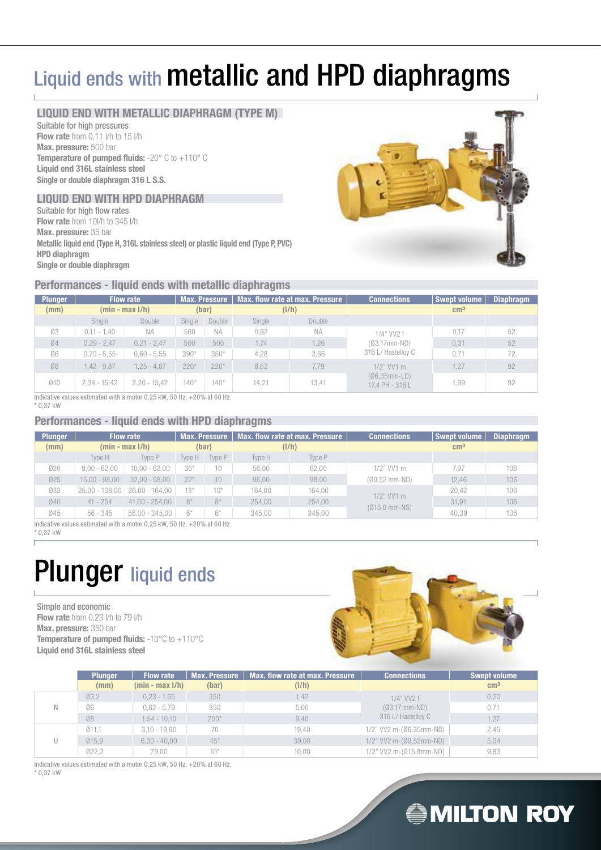### Liquid ends with **metallic and HPD diaphragms**

#### **LIQUID END WITH METALLIC DIAPHRAGM (TYPE M)**

Suitable for high pressures **Flow rate** from 0.11 l/h to 15 l/h **Max. pressure:** 500 bar **Temperature of pumped fluids:** -20° C to +110° C **Liquid end 316L stainless steel Single or double diaphragm 316 L S.S.**

#### **LIQUID END WITH HPD DIAPHRAGM**

Suitable for high flow rates **Flow rate** from 10l/h to 345 l/h **Max. pressure:** 35 bar **Metallic liquid end (Type H, 316L stainless steel) or plastic liquid end (Type P, PVC) HPD diaphragm Single or double diaphragm**

#### **Performances - liquid ends with metallic diaphragms**

| <b>Plunger</b> | <b>Flow rate</b>  |                | Max. flow rate at max. Pressure<br>Max. Pressure |           |        | <b>Connections</b> | Swept volume                       | Diaphragm    |    |
|----------------|-------------------|----------------|--------------------------------------------------|-----------|--------|--------------------|------------------------------------|--------------|----|
| (mm)           | $(min - max I/h)$ |                |                                                  | (bar)     | (I/h)  |                    |                                    | $\rm cm^{3}$ |    |
|                | Single            | Double         | Single                                           | Double    | Single | Double             |                                    |              |    |
| Ø3             | $0,11 - 1,40$     | <b>NA</b>      | 500                                              | <b>NA</b> | 0.92   | <b>NA</b>          | 1/4" VV2 f                         | 0.17         | 52 |
| Ø4             | $0,29 - 2,47$     | $0,21 - 2,47$  | 500                                              | 500       | 1.74   | 1,26               | $(Ø3,17mm-ND)$                     | 0.31         | 52 |
| Ø6             | $0,70 - 5,55$     | $0,60 - 5,55$  | $390*$                                           | $350*$    | 4,28   | 3,66               | 316 L/ Hastelloy C                 | 0.71         | 72 |
| Ø8             | $1,42 - 9,87$     | $1.25 - 4.87$  | $220*$                                           | $220*$    | 8.62   | 7.79               | $1/2$ " VV1 m                      | 1.27         | 92 |
| 010            | $2,34 - 15,42$    | $2,20 - 15,42$ | $140*$                                           | $140*$    | 14.21  | 13.41              | $(06,35mm$ -LD)<br>17.4 PH - 316 L | .99          | 92 |

Indicative values estimated with a motor 0,25 kW, 50 Hz. +20% at 60 Hz.

\* 0,37 kW

#### **Performances - liquid ends with HPD diaphragms**

| <b>Plunger</b> | <b>Flow rate</b>  |                  |        | <b>Max. Pressure</b> | Max. flow rate at max. Pressure |        | <b>Connections</b> | Swept volume    | <b>Diaphragm</b> |
|----------------|-------------------|------------------|--------|----------------------|---------------------------------|--------|--------------------|-----------------|------------------|
| (mm)           | $(min - max I/h)$ |                  |        | (bar)                | (I/h)                           |        |                    | cm <sup>3</sup> |                  |
|                | Type H            | Type P           | Tvpe H | Type P               | Type H                          | Type P |                    |                 |                  |
| 020            | $9.00 - 62.00$    | $10.00 - 62.00$  | $35*$  | 10                   | 56.00                           | 62.00  | $1/2$ " VV1 m      | 7.97            | 106              |
| 025            | $15,00 - 98,00$   | $32.00 - 98.00$  | $22*$  | 10                   | 96.00                           | 98,00  | $(09,52$ mm-ND)    | 12.46           | 106              |
| 032            | $25,00 - 108,00$  | 26,00 - 164,00   | $13*$  | $10*$                | 164.00                          | 164,00 | $1/2$ " VV1 m      | 20.42           | 106              |
| 040            | $41 - 254$        | $41.00 - 254.00$ | $8*$   | $8*$                 | 254.00                          | 254,00 |                    | 31.91           | 106              |
| 045            | $56 - 345$        | $56.00 - 345.00$ | $6*$   | $6^*$                | 345.00                          | 345,00 | $(Ø15.9$ mm-NS)    | 40.39           | 106              |

Indicative values estimated with a motor 0,25 kW, 50 Hz. +20% at 60 Hz.

\* 0,37 kW Г

### Plunger liquid ends

Simple and economic **Flow rate** from 0,23 l/h to 79 l/h **Max. pressure:** 350 bar **Temperature of pumped fluids: -10°C to +110°C Liquid end 316L stainless steel**



|   | <b>Plunger</b> | <b>Flow rate</b>  | Max. Pressure | Max, flow rate at max, Pressure | <b>Connections</b>             | <b>Swept volume</b> |
|---|----------------|-------------------|---------------|---------------------------------|--------------------------------|---------------------|
|   | (mm)           | $(min - max I/h)$ | (bar)         | (I/h)                           |                                | cm <sup>3</sup>     |
|   | Q3,2           | $0,23 - 1,65$     | 350           | 1,42                            | 1/4" VV2 f                     | 0,20                |
| N | Ø6             | $0.82 - 5.79$     | 350           | 5.00                            | $(03,17$ mm-ND)                | 0,71                |
|   | Ø8             | $1.54 - 10.10$    | $200*$        | 9,40                            | 316 L/ Hastelloy C             | 1,27                |
|   | Ø11.1          | $3,10 - 19,90$    | 70            | 19.40                           | 1/2" VV2 m-(Ø6,35mm-ND)        | 2,45                |
| U | Ø15.9          | $6,30 - 40,00$    | $45*$         | 39.00                           | $1/2$ " VV2 m- $(Ø9,52$ mm-ND) | 5,04                |
|   | 022,2          | 79.00             | $10*$         | 10.00                           | 1/2" VV2 m-(Ø15,9mm-ND)        | 9,83                |

Indicative values estimated with a motor 0,25 kW, 50 Hz. +20% at 60 Hz. \* 0,37 kW

### **SMILTON ROY**

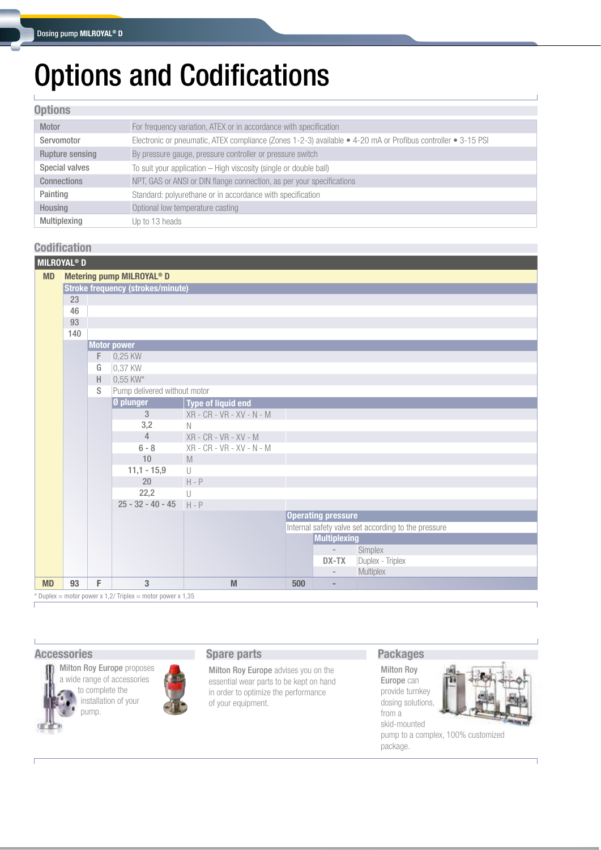# Options and Codifications

#### **Options**

| Motor              | For frequency variation, ATEX or in accordance with specification                                            |
|--------------------|--------------------------------------------------------------------------------------------------------------|
| Servomotor         | Electronic or pneumatic, ATEX compliance (Zones 1-2-3) available • 4-20 mA or Profibus controller • 3-15 PSI |
| Rupture sensing    | By pressure gauge, pressure controller or pressure switch                                                    |
| Special valves     | To suit your application - High viscosity (single or double ball)                                            |
| <b>Connections</b> | NPT, GAS or ANSI or DIN flange connection, as per your specifications                                        |
| Painting           | Standard: polyurethane or in accordance with specification                                                   |
| Housing            | Optional low temperature casting                                                                             |
| Multiplexing       | Up to 13 heads                                                                                               |

### **Codification**

| <b>MILROYAL<sup>®</sup> D</b> |                                                            |                                          |                                       |                                        |     |                           |                                                     |  |  |  |  |
|-------------------------------|------------------------------------------------------------|------------------------------------------|---------------------------------------|----------------------------------------|-----|---------------------------|-----------------------------------------------------|--|--|--|--|
| <b>MD</b>                     |                                                            |                                          | Metering pump MILROYAL <sup>®</sup> D |                                        |     |                           |                                                     |  |  |  |  |
|                               |                                                            | <b>Stroke frequency (strokes/minute)</b> |                                       |                                        |     |                           |                                                     |  |  |  |  |
|                               | 23                                                         |                                          |                                       |                                        |     |                           |                                                     |  |  |  |  |
|                               | 46                                                         |                                          |                                       |                                        |     |                           |                                                     |  |  |  |  |
|                               | 93                                                         |                                          |                                       |                                        |     |                           |                                                     |  |  |  |  |
|                               | 140                                                        |                                          |                                       |                                        |     |                           |                                                     |  |  |  |  |
|                               |                                                            |                                          | <b>Motor power</b>                    |                                        |     |                           |                                                     |  |  |  |  |
|                               |                                                            | F                                        | 0,25 KW                               |                                        |     |                           |                                                     |  |  |  |  |
|                               |                                                            | G                                        | 0,37 KW                               |                                        |     |                           |                                                     |  |  |  |  |
|                               |                                                            | H                                        | 0,55 KW*                              |                                        |     |                           |                                                     |  |  |  |  |
|                               |                                                            | S                                        | Pump delivered without motor          |                                        |     |                           |                                                     |  |  |  |  |
|                               |                                                            |                                          | Ø plunger                             | Type of liquid end                     |     |                           |                                                     |  |  |  |  |
|                               |                                                            |                                          | 3                                     | $XR - CR - VR - XV - N - M$            |     |                           |                                                     |  |  |  |  |
|                               |                                                            |                                          | 3,2                                   | $\mathbb N$                            |     |                           |                                                     |  |  |  |  |
|                               |                                                            |                                          | $\overline{4}$                        | XR - CR - VR - XV - M                  |     |                           |                                                     |  |  |  |  |
|                               |                                                            |                                          | $6 - 8$                               | XR - CR - VR - XV - N - M              |     |                           |                                                     |  |  |  |  |
|                               |                                                            |                                          | 10                                    | $\mathbb M$                            |     |                           |                                                     |  |  |  |  |
|                               |                                                            |                                          | $11,1 - 15,9$                         | U                                      |     |                           |                                                     |  |  |  |  |
|                               |                                                            |                                          | 20                                    | $H - P$                                |     |                           |                                                     |  |  |  |  |
|                               |                                                            |                                          | 22,2                                  | $\begin{array}{c} \square \end{array}$ |     |                           |                                                     |  |  |  |  |
|                               |                                                            |                                          | $25 - 32 - 40 - 45$ H - P             |                                        |     |                           |                                                     |  |  |  |  |
|                               |                                                            |                                          |                                       |                                        |     | <b>Operating pressure</b> |                                                     |  |  |  |  |
|                               |                                                            |                                          |                                       |                                        |     | <b>Multiplexing</b>       | Internal safety valve set according to the pressure |  |  |  |  |
|                               |                                                            |                                          |                                       |                                        |     | $\overline{\phantom{a}}$  | Simplex                                             |  |  |  |  |
|                               |                                                            |                                          |                                       |                                        |     | DX-TX                     | Duplex - Triplex                                    |  |  |  |  |
|                               |                                                            |                                          |                                       |                                        |     | $\overline{\phantom{a}}$  | Multiplex                                           |  |  |  |  |
| <b>MD</b>                     | 93                                                         | F                                        | 3                                     | M                                      | 500 | $\overline{a}$            |                                                     |  |  |  |  |
|                               | * Duplex = motor power x 1,2/ Triplex = motor power x 1,35 |                                          |                                       |                                        |     |                           |                                                     |  |  |  |  |

#### **Accessories Spare parts**



Milton Roy Europe proposes a wide range of accessories to complete the installation of your pump.

Milton Roy Europe advises you on the essential wear parts to be kept on hand in order to optimize the performance of your equipment.

#### **Packages**

Milton Roy Europe can provide turnkey dosing solutions, from a skid-mounted



pump to a complex, 100% customized package.